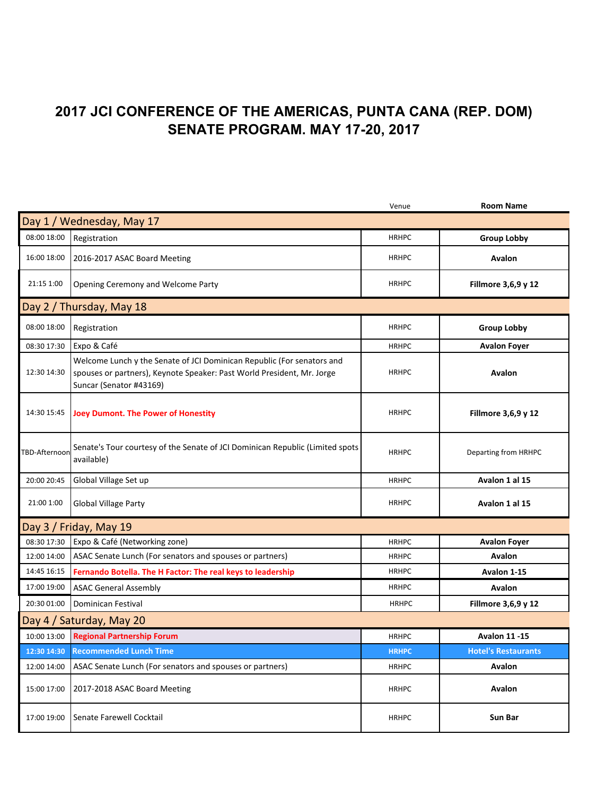## **2017 JCI CONFERENCE OF THE AMERICAS, PUNTA CANA (REP. DOM) SENATE PROGRAM. MAY 17-20, 2017**

|                           |                                                                                                                                                                             | Venue        | <b>Room Name</b>           |  |
|---------------------------|-----------------------------------------------------------------------------------------------------------------------------------------------------------------------------|--------------|----------------------------|--|
| Day 1 / Wednesday, May 17 |                                                                                                                                                                             |              |                            |  |
| 08:00 18:00               | Registration                                                                                                                                                                | <b>HRHPC</b> | <b>Group Lobby</b>         |  |
| 16:00 18:00               | 2016-2017 ASAC Board Meeting                                                                                                                                                | <b>HRHPC</b> | Avalon                     |  |
| 21:15 1:00                | Opening Ceremony and Welcome Party                                                                                                                                          | <b>HRHPC</b> | Fillmore 3,6,9 y 12        |  |
| Day 2 / Thursday, May 18  |                                                                                                                                                                             |              |                            |  |
| 08:00 18:00               | Registration                                                                                                                                                                | <b>HRHPC</b> | <b>Group Lobby</b>         |  |
| 08:30 17:30               | Expo & Café                                                                                                                                                                 | <b>HRHPC</b> | <b>Avalon Foyer</b>        |  |
| 12:30 14:30               | Welcome Lunch y the Senate of JCI Dominican Republic (For senators and<br>spouses or partners), Keynote Speaker: Past World President, Mr. Jorge<br>Suncar (Senator #43169) | <b>HRHPC</b> | <b>Avalon</b>              |  |
| 14:30 15:45               | <b>Joey Dumont. The Power of Honestity</b>                                                                                                                                  | <b>HRHPC</b> | Fillmore 3,6,9 y 12        |  |
| TBD-Afternoon             | Senate's Tour courtesy of the Senate of JCI Dominican Republic (Limited spots<br>available)                                                                                 | <b>HRHPC</b> | Departing from HRHPC       |  |
| 20:00 20:45               | Global Village Set up                                                                                                                                                       | <b>HRHPC</b> | Avalon 1 al 15             |  |
| 21:00 1:00                | <b>Global Village Party</b>                                                                                                                                                 | <b>HRHPC</b> | Avalon 1 al 15             |  |
| Day 3 / Friday, May 19    |                                                                                                                                                                             |              |                            |  |
| 08:30 17:30               | Expo & Café (Networking zone)                                                                                                                                               | <b>HRHPC</b> | <b>Avalon Foyer</b>        |  |
| 12:00 14:00               | ASAC Senate Lunch (For senators and spouses or partners)                                                                                                                    | <b>HRHPC</b> | <b>Avalon</b>              |  |
| 14:45 16:15               | Fernando Botella. The H Factor: The real keys to leadership                                                                                                                 | <b>HRHPC</b> | Avalon 1-15                |  |
| 17:00 19:00               | <b>ASAC General Assembly</b>                                                                                                                                                | <b>HRHPC</b> | Avalon                     |  |
| 20:30 01:00               | Dominican Festival                                                                                                                                                          | <b>HRHPC</b> | Fillmore 3,6,9 y 12        |  |
| Day 4 / Saturday, May 20  |                                                                                                                                                                             |              |                            |  |
| 10:00 13:00               | <b>Regional Partnership Forum</b>                                                                                                                                           | <b>HRHPC</b> | <b>Avalon 11-15</b>        |  |
|                           | 12:30 14:30 Recommended Lunch Time                                                                                                                                          | <b>HRHPC</b> | <b>Hotel's Restaurants</b> |  |
| 12:00 14:00               | ASAC Senate Lunch (For senators and spouses or partners)                                                                                                                    | <b>HRHPC</b> | Avalon                     |  |
| 15:00 17:00               | 2017-2018 ASAC Board Meeting                                                                                                                                                | <b>HRHPC</b> | Avalon                     |  |
| 17:00 19:00               | Senate Farewell Cocktail                                                                                                                                                    | <b>HRHPC</b> | Sun Bar                    |  |